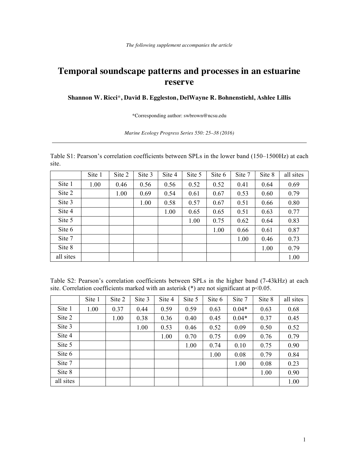## **Temporal soundscape patterns and processes in an estuarine reserve**

## **Shannon W. Ricci**\***, David B. Eggleston, DelWayne R. Bohnenstiehl, Ashlee Lillis**

\*Corresponding author: swbrown@ncsu.edu

## *Marine Ecology Progress Series 550: 25–38 (2016)*

Table S1: Pearson's correlation coefficients between SPLs in the lower band (150–1500Hz) at each site.

|           | Site 1 | Site 2 | Site 3 | Site 4 | Site 5 | Site 6 | Site 7 | Site 8 | all sites |
|-----------|--------|--------|--------|--------|--------|--------|--------|--------|-----------|
| Site 1    | 1.00   | 0.46   | 0.56   | 0.56   | 0.52   | 0.52   | 0.41   | 0.64   | 0.69      |
| Site 2    |        | 1.00   | 0.69   | 0.54   | 0.61   | 0.67   | 0.53   | 0.60   | 0.79      |
| Site 3    |        |        | 1.00   | 0.58   | 0.57   | 0.67   | 0.51   | 0.66   | 0.80      |
| Site 4    |        |        |        | 1.00   | 0.65   | 0.65   | 0.51   | 0.63   | 0.77      |
| Site 5    |        |        |        |        | 1.00   | 0.75   | 0.62   | 0.64   | 0.83      |
| Site 6    |        |        |        |        |        | 1.00   | 0.66   | 0.61   | 0.87      |
| Site 7    |        |        |        |        |        |        | 1.00   | 0.46   | 0.73      |
| Site 8    |        |        |        |        |        |        |        | 1.00   | 0.79      |
| all sites |        |        |        |        |        |        |        |        | 1.00      |

Table S2: Pearson's correlation coefficients between SPLs in the higher band (7-43kHz) at each site. Correlation coefficients marked with an asterisk  $(*)$  are not significant at  $p<0.05$ .

|           | Site 1 | Site 2 | Site 3 | Site 4 | Site 5 | Site 6 | Site 7  | Site 8 | all sites |
|-----------|--------|--------|--------|--------|--------|--------|---------|--------|-----------|
| Site 1    | 1.00   | 0.37   | 0.44   | 0.59   | 0.59   | 0.63   | $0.04*$ | 0.63   | 0.68      |
| Site 2    |        | 1.00   | 0.38   | 0.36   | 0.40   | 0.45   | $0.04*$ | 0.37   | 0.45      |
| Site 3    |        |        | 1.00   | 0.53   | 0.46   | 0.52   | 0.09    | 0.50   | 0.52      |
| Site 4    |        |        |        | 1.00   | 0.70   | 0.75   | 0.09    | 0.76   | 0.79      |
| Site 5    |        |        |        |        | 1.00   | 0.74   | 0.10    | 0.75   | 0.90      |
| Site 6    |        |        |        |        |        | 1.00   | 0.08    | 0.79   | 0.84      |
| Site 7    |        |        |        |        |        |        | 1.00    | 0.08   | 0.23      |
| Site 8    |        |        |        |        |        |        |         | 1.00   | 0.90      |
| all sites |        |        |        |        |        |        |         |        | 1.00      |